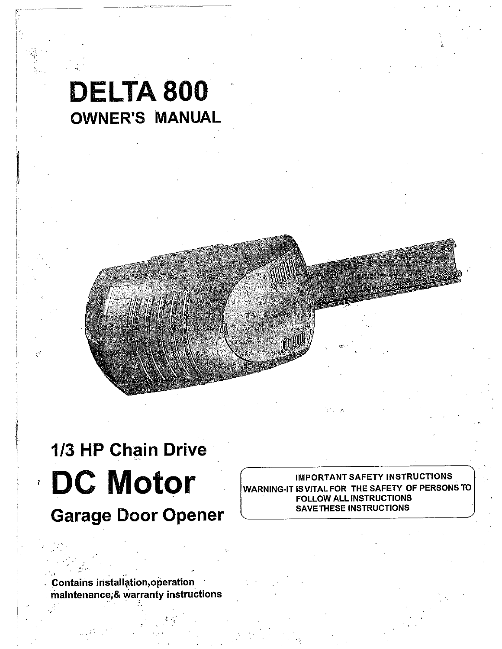## **DELTA 800 OWNER'S MANUAL**

# **1/3 HP Chain Drive DC Motor**

**Garage Door Opener**

**IMPORTANT SAFETY INSTRUCTIONS<br>WARNING-IT IS VITAL FOR THE SAFETY OF PERSON:<br>FOLLOW ALL INSTRUCTIONS<br>SAVETHESE INSTRUCTIONS** RNING-IT IS VITAL FOR  $\,$  THE SAFETY  $\,$  OF PERSONS TO  $\,|\,$ FOLLOW ALL INSTRUCTIONS SAVETHESE INSTRUCTIONS

mul

**Contains installation, operation ~maintenance;& War.ranty instructions**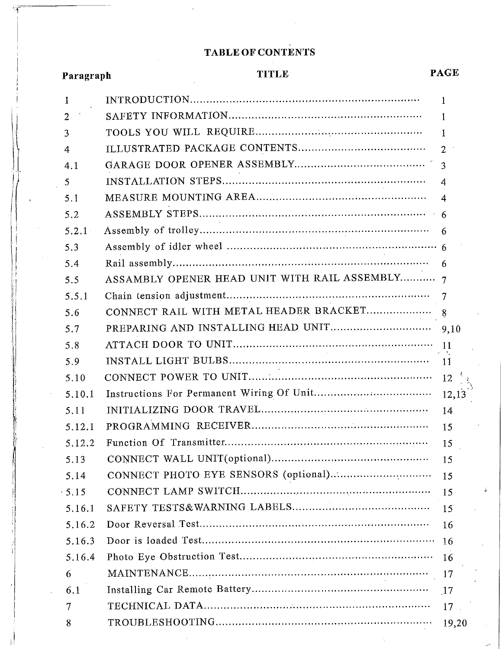### **TABLE OF CONTENTS**

| Paragraph    | <b>TITLE</b>                                   | <b>PAGE</b>             |
|--------------|------------------------------------------------|-------------------------|
| 1            |                                                | 1                       |
| 2            |                                                | $\mathbf{1}$            |
| 3            |                                                | $\mathbf{1}$            |
| 4            |                                                | $\overline{2}$          |
| 4.1          |                                                | 3                       |
| 5            |                                                | $\overline{4}$          |
| 5.1          |                                                | $\overline{\mathbf{4}}$ |
| 5.2          |                                                |                         |
| 5.2.1        |                                                | 6                       |
| 5.3          |                                                |                         |
| 5.4          |                                                | -6                      |
| 5.5          | ASSAMBLY OPENER HEAD UNIT WITH RAIL ASSEMBLY 7 |                         |
| 5.5.1        |                                                |                         |
| 5.6          |                                                |                         |
| 5.7          |                                                | 9,10                    |
| 5.8          |                                                |                         |
| 5.9          |                                                |                         |
| 5.10         |                                                | $12 \frac{1}{3}$        |
| 5.10.1       |                                                | 12,13                   |
| 5.11         |                                                | 14                      |
| 5.12.1       |                                                | 15                      |
| 5.12.2       |                                                | 15                      |
| 5.13         |                                                | 15                      |
| 5.14         |                                                | 15                      |
| $\cdot$ 5 15 |                                                | 15                      |
| 5.16.1       |                                                | 15                      |
| 5.16.2       |                                                | 16                      |
| 5.16.3       |                                                | 16                      |
| 5.16.4       |                                                | 16                      |
| 6            |                                                | 17                      |
| 6.1          |                                                | $\sqrt{17}$             |
| 7            |                                                | 17                      |

TROUBLESHOOTING .................................................................. 19,20

8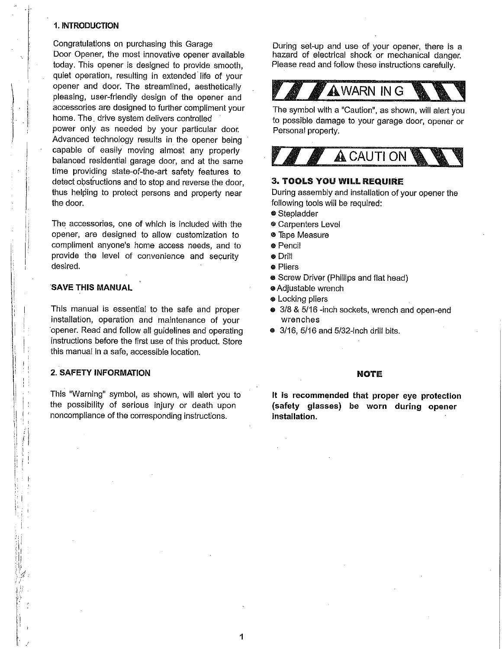#### **1. INTRODUCTION**

Congratulations on purchasing this Garage Door Opener, the most innovative opener available today. This opener is designed to provide smooth, quiet operation, resulting in extended life of your opener and door. The streamlined, aesthetically pleasing, user-friendly design of the opener and accessories are designed to further compliment your home. The. drive system delivers controlled power only as needed by your particular door. Advanced technology results in the opener being capable of easily moving almost any properly balanced residential garage door, and at the same time providing state-of-the-art safety features to detect obstructions and to stop and reverse the door, thus helping to protect persons and property near the door.

The accessories, one of which is included With the opener, are designed to allow customization to compliment anyone's home access needs, and to provide the level of convenience and security desired.

#### **SAVE THIS MANUAL**

This manual is essential to the safe and proper installation, operation and maintenance of your opener. Read and follow all guidelines and operating instructions before the first use of this product. Store this manual in a safe, accessible location.

#### **2. SAFETY INFORMATION**

This "Warning" symbol, as shown, will alert you to the possibility of serious injury or death upon noncompliance of the corresponding instructions.

During set-up and use of your opener, there is a hazard of electrical shock or mechanical danger. Please read and follow these instructions carefully.



The symbol with a "Caution", as shown, will alert you to possible damage to your garage door, opener or Personal property.



#### **3. TOOLS YOU WILL REQUIRE**

During assembly and installation of your opener the following tools will be required:

- ® Stepladder
- <sup>®</sup> Carpenters Level
- e Tape Measure
- ® Pencil
- ¯ Drill
- o Pliers
- **•** Screw Driver (Phillips and flat head)
- ~ Adjustable wrench
- ® Locking pliers
- ® 3/8 & 5/16 -inch sockets, wrench and open-end wrenches
- $\bullet$  3/16, 5/16 and 5/32-inch drill bits.

#### **NOTE**

**It is recommended that proper eye protection (safety glasses) be worn during opener installation.**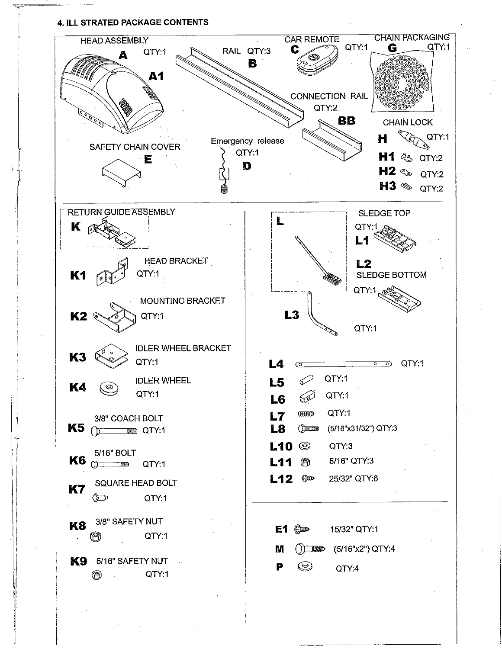#### **4. ILL STRATED PACKAGE CONTENTS**

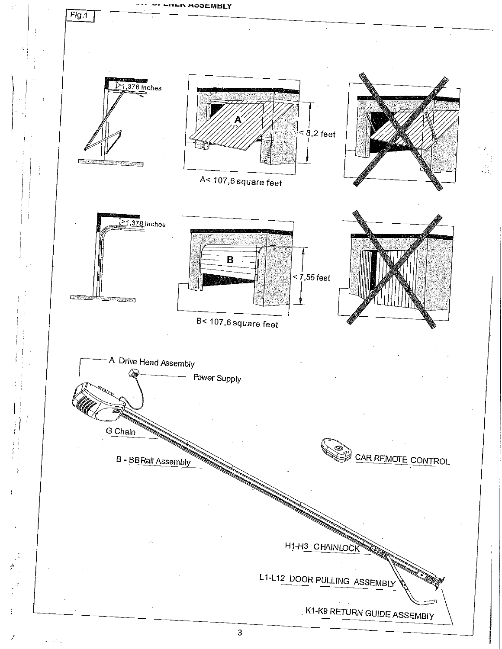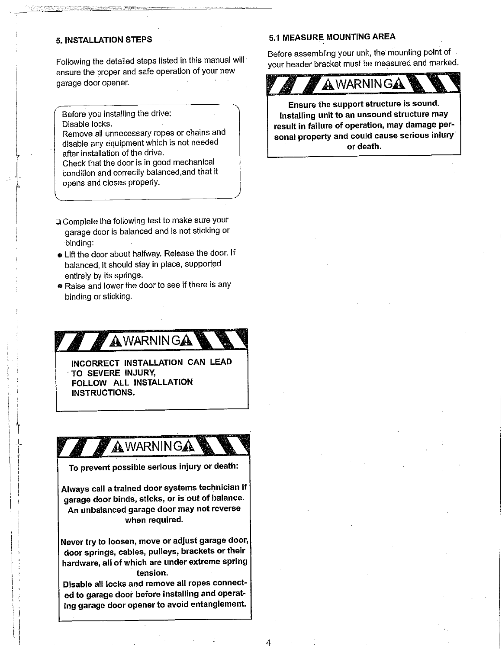#### **5. INSTALLATION STEPS**

Following the detailed steps listed in this manual will ensure the proper and safe operation of your new garage door opener.

Before you installing the drive: Disable locks.

Remove all unnecessary ropes or chains and disable any equipment which is not needed after installation of the drive.

Check that the door is in good mechanical Condition and correctly balanced,and that it opens and closes properly.

- Complete the following test to make sure your garage door is balanced and is not sticking or binding:
- Lift the door about halfway. Release the door. If balanced, it should stay in place, supported entirely by its springs.
- Raise and lower the door to see if there is any binding or sticking.

## AWARNINGA

**INCORRECT INSTALLATION CAN LEAD TO SEVERE INJURY,** FOLLOW ALL **INSTALLATION INSTRUCTIONS.**

## AWARNINGA

To prevent possible serious injury or death:

Always call a trained door systems technician if garage door binds, sticks, or is out of balance. An unbalanced garage door may not reverse when required.

Never try to loosen, move or adjust garage door, door springs, cables, pulleys, brackets or their hardware, all of which are under extreme spring tension.

Disable all locks and remove all ropes connected to garage door before installing and operating garage door opener to avoid entanglement.

#### **5.t MEASURE MOUNTINGAREA**

Before assembling your unit, the mounting point of /our header bracket must be measured and marked.



Ensure the support structure is sound. Installing unit to an unsound structure may result in failure of operation, may damage personal property and could cause serious injury or death.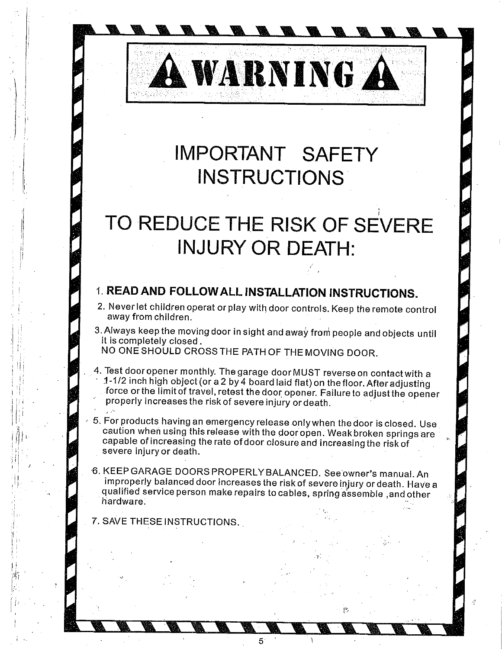## **IMPORTANT SAFETY INSTRUCTIONS**

**NARNING A** 

## **TO REDUCE THE RISK OF SEVERE INJURY OR DEATH:**

### **1. READ AND FOLLOWALL INSTALLATION INSTRUCTIONS.**

- 2. Never let children operat or play with door controls. Keep the remote control away from children.
- 3. Always keep the moving door in sight and away from people and objects until it is completely closed.

NO ONE SHOULD CROSS THE PATH OF THE MOVING DOOR.

- 4. Test dooropener monthly. Thegarage door MUST reverse on contact with a ~1-1/2 inch high object (or a 2 by4 board laid flat)on the floor. After adjusting force or the limit of travel, retest the door opener. Failure to adjust the opener properly increases the risk of severe injury or death.
- . 5. For products having an emergency release onlywhen the door is closed. Use caution when using this release with the door open. Weak broken springs are capable of increasing the rate of door closure and increasing the risk of severe injury or death.
- ¯ 6. KEEP GARAGE DOORS PROPERLYBALANCED. See'owner's manual. An improperly balanced door increases the risk of severe injury or death. Have a qualified service person make repairs to cables, spring assemble, and other hardware:

5

7. SAVE THESE INSTRUCTIONS.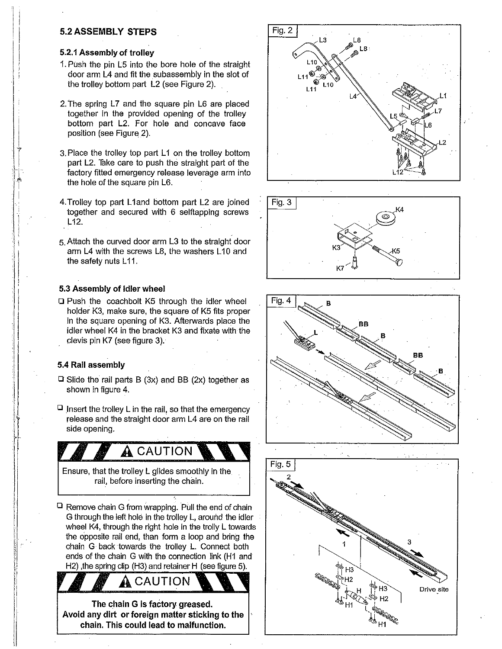#### **5.2 ASSEMBLY STEPS**

#### **5.2.1 Assembly of trolley**

- 1. Push the pin L5 into the bore hole of the straight door arm L4 and fit the subassembly in the slot of the trolley bottom part L2 (see Figure 2).
- 2.The spring L7 and the square pin L6 are placed together in the provided opening of the trolley bottom part L2. For hole and concave face position (see Figure 2).
- 3.Place the trolley top part L1 on the trolley bottom part L2. Take care to push the straight part of the factory fitted emergency release leverage arm into the hole of the square pin L6.
- 4. Trolley top part L1 and bottom part L2 are joined together and secured with 6 selftapping screws L12.
- 5.Attach the curved door arm L3 to the straight door arm L4 with the screws L8, the washers L10 and the safety nuts L11.

#### **5.3 Assembly of idler wheel**

 $\Box$  Push the coachbolt K5 through the idler wheel holder K3, make sure, the square of K5 fits proper in the square opening of K3. Afterwards place the idler wheel K4 in the bracket K3 and fixate with the clevis pin K7 (see figure 3).

#### **5.4 Rail assembly**

- $\Box$  Slide the rail parts B (3x) and BB (2x) together as shown in figure 4.
- $\Box$  insert the trolley L in the rail, so that the emergency release and the straight door arm L4 are on the rail side opening.

 $\clubsuit$  caution Ensure, that the trolley L glides smoothly in the rail, before inserting the chain.

 $\Box$  Remove chain G from wrapping. Pull the end of chain G through the left hole in the trolley  $L$ , around the idler wheel K4, through the right hole in the trolly L towards the opposite rail end, than form a loop and bring the chain G back towards the trolley L. Connect both ends of the chain G with the connection link (H1 and H2) , the spring clip (H3) and retainer H (see figure 5).

**The chain G is factory greased. Avoid any dirt or foreign matter sticking to the chain. This could lead to malfunction.**

**A** CAUTION







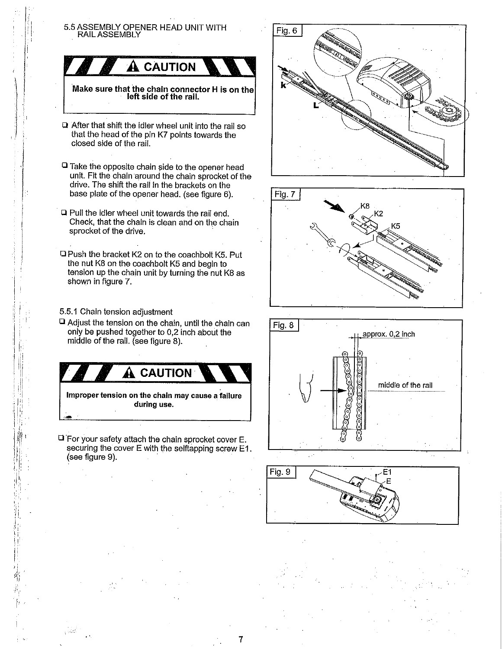#### 5.5 ASSEMBLY OPENER HEAD UNIT WITH RAIL ASSEMBLY



**Make sure that the chain connector H is on the left side of the rail.**

- After that shift the idler wheel unit into the rail so that the head of the pin K7 points towards the closed side of the rail.
- $\Box$  Take the opposite chain side to the opener head unit. Fit the chain around the chain sprocket of the drive. The shift the rail in the brackets on the base plate of the opener head. (see figure 6).
- Pull the idler wheel unit towards the rail end. Check, that the chain is clean and on the chain sprocket of the drive.
- Push the bracket K2 on to the coachbolt K5. Put the nut K8 on the coachbolt K5 and begin to tension up the chain unit by turning the nut K8 as shown in figure 7.

5.5.1 Chain tension adjustment

 $\square$  Adjust the tension on the chain, until the chain can only be pushed together to  $0,2$  inch about the middle of the rail. (see figure 8).



**Improper tension on the chain may cause a failure during use. /**

For your safety attach the chain sprocket cover E. securing the cover E with the selftapping screw El. (see figure 9).

7







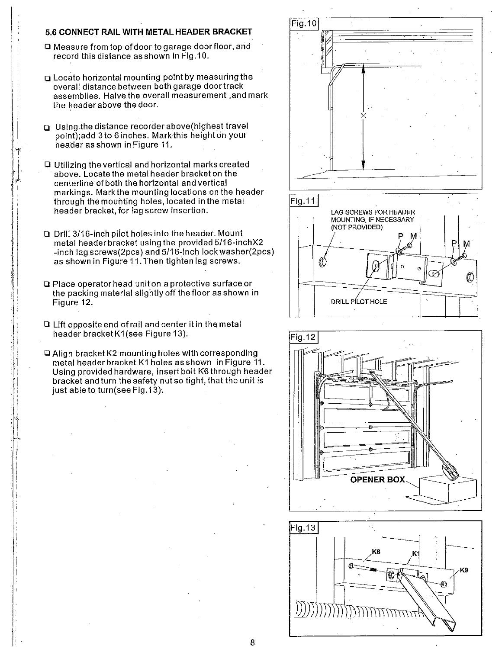#### **5.6 CONNECT RAIL WITH METAL HEADER BRACKET**

- Q Measure from top of door to garage door floor, and record this distance as shown in Fig.10.
- **Q** Locate horizontal mounting point by measuring the overall distance between both garage door track assemblies. Halve the overall measurement ,and mark the header above the door.
- **Using the distance recorder above (highest travel** point);add 3 to 6 inches. Mark this height on your header as shown in Figure 11.
- Utilizing thevertical and horizontal marks created above. Locate the metal header bracket on the centerline of both the horizontal andvertical markings. Markthe mounting locations on the header through the mounting holes, located in the metal header bracket, for lag screw insertion.
- Drill 3/16-inch piiot holes into the header. Mount metal header bracket using the provided 5/16-inchX2 -inch lag screws(2pcs) and 5/16-inch lock washer(2pcs) as shown in Figure 11. Then tighten lag screws.
- Place operator head unit on a protective surface or the packing material slightly off the floor as shown in Figure 12.
- Lift opposite end of rail and center it in the metal header bracket K1 (see Figure 13).
- $\Box$  Align bracket K2 mounting holes with corresponding metal header bracket K1 holes asshown in Figure 11. Using provided hardware, insert bolt K6through header bracket and turn the safety nu{ so tight, that the unit is just able to turn(see Fig.13).







8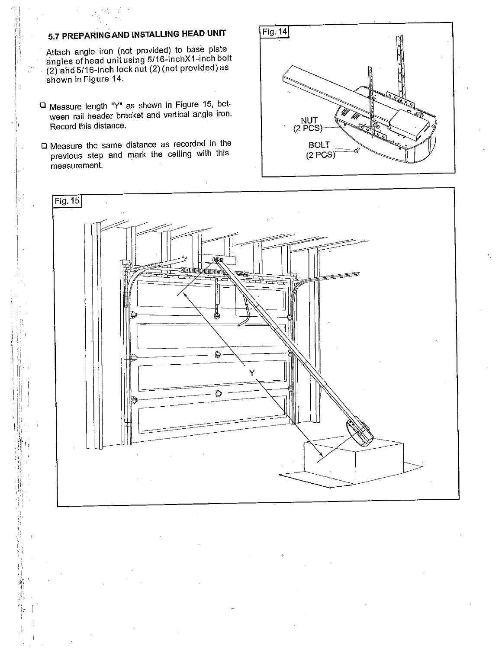### **5.7 PREPARiNGAND INSTALLING HEAD UNIT**

Attach angle iron (not provided) to base plate 'angles of head unit using 5/16-inchXl-inch bolt  $(2)$  and 5/16-inch lock nut  $(2)$  (not provided) as shown in Figure 14.

- Measure length "Y" as shown in Figure 15, between rail header bracket and vertical angle iron. Record this distance.
- Measure the same distance as recorded in the previous step and mark the ceiling with this measurement.

įI, ļ.

希克



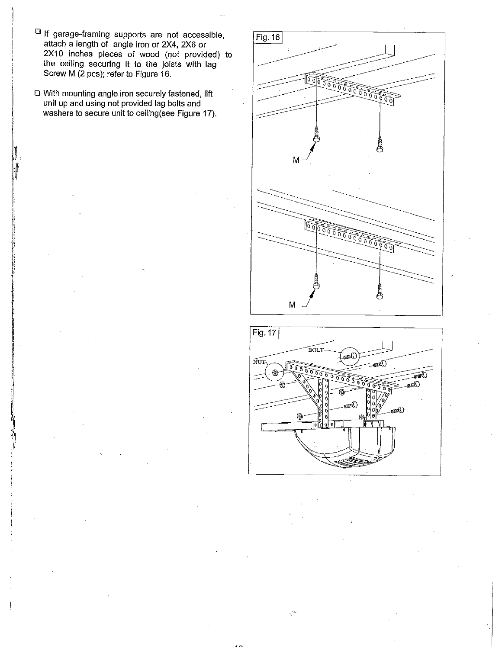- If garage-framing supports are not accessible, attach a length of angle iron or 2X4, 2X6 or 2X10 inches pieces of wood (not provided) to the ceiling securing it to the joists with lag Screw M (2 pcs); refer to Figure 16.
- With mounting angle iron securely fastened, lift unit up and using not provided lag bolts and washers to secure unit to ceiling (see Figure 17).





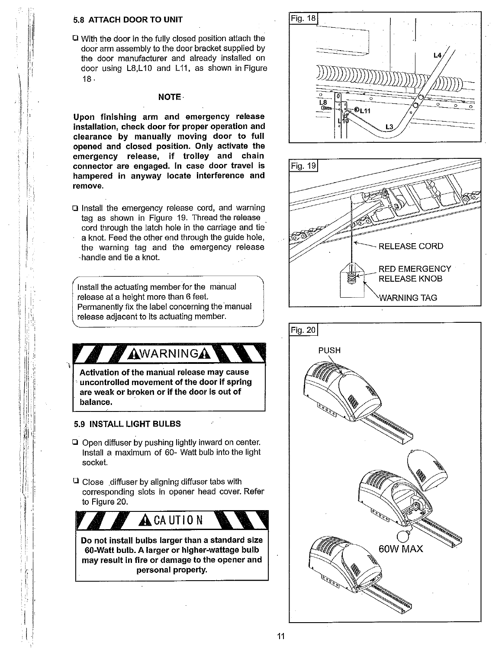#### 5.8 ATTACH DOOR TO UNIT

With the door in the fully closed position attach the door arm assembly to the door bracket supplied by the door manufacturer and already installed on door using L8,L10 and L11, as shown in Figure 18.

#### **NOTE.**

**Upon finishing arm and emergency release installation, check door for proper operation and clearance by manually moving door to full opened and closed position. Only activate the emergency release, if trolley and chain connector are engaged. In case door travel is hampered in anyway locate interference and remove.**

Q Install the emergency release cord, and warning tag as shown in Figure 19. Thread the release cord through the latch hole in the carriage and tie a knot. Feed the other end through the guide hole, the warning tag and the emergency release -handle and tie a knot.

Install the actuating member for the manual release at a height more than 6 feet. Permanently fix the label concerning the 'manual release adjacent to its actuating member.



- Install a maximum of 60- Watt bulb into the light socket.
- $\Box$  Close diffuser by aligning diffuser tabs with corresponding slots in opener head cover. Refer to Figure 20.

**A**CAUTION **Do not install bulbs larger than a standard size 60-Watt bulb. A larger or higher-wattage bulb**

**may result in fire or damage to the opener and personal property.**





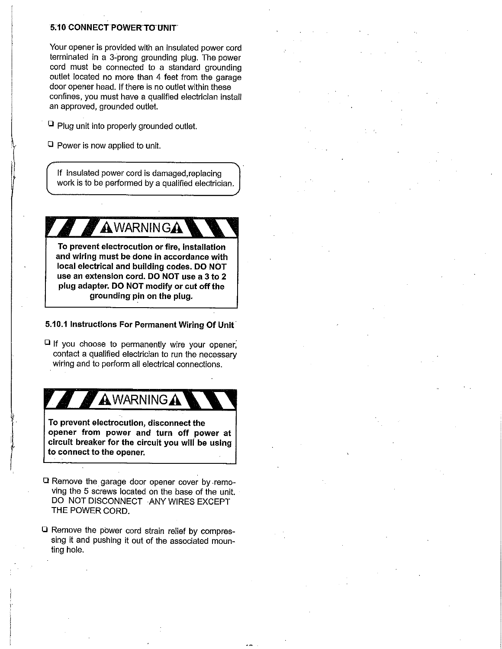#### 5710 CONNEcT **POWERTOUNIT**

Your opener is provided with an insulated power cord terminated in a 3:prong grounding plug. The power cord must be connected to a standard grounding outlet located no more than 4 feet from the garage door opener head. If there is no outlet within these confines, you must have a qualified electrician install an approved, grounded outlet.

 $\Box$  Plug unit into properly grounded outlet.

 $\Box$  Power is now applied to unit.

if insulated power cord is damaged,replacing work is to be performed by a qualified electrician.

AWARNINGA

**To prevent electrocution or fire, installation and wiring must be done in accordance with local electrical and building codes. DO NOT use an extension cord, DO NOT use a 3 to 2 plug adapter. DO NOT modify or cut offthe grounding pin on the plug.**

#### **5.10.1 Instructions For Permanent Wiring Of Unit**

 $\Box$  If you choose to permanently wire your opener, contact a qualified electrician to run the necessary wiring and to perform all electrical connections.

## **AWARNING A**

**To prevent electrocution, disconnect the opener from power and turn off power at circuit breaker for the circuit you wili be using to connect to the opener.**

- Remove the garage door opener cover by .removing the 5 screws located on the base of the unit. DO NOT DISCONNECT ANY WIRES EXCEPT THE POWER CORD.
- Remove the pbwer cord strain relief by compressing it and pushing it out of the associated mounting hole.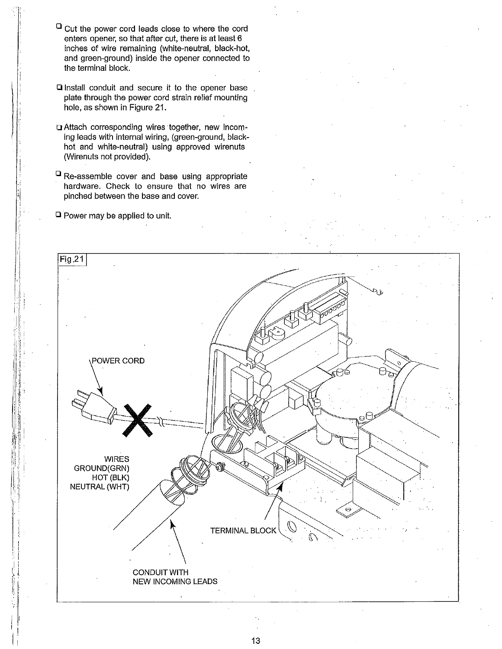- $\Box$  Cut the power cord leads close to where the cord enters opener, so that after cut, there is at least 6 inches of wire remaining (white-neutral, black-hot, and green-ground) inside the opener connected to the terminal block.
- **Q** Install conduit and secure it to the opener base plate through the power cord strain relief mounting hole, as shown in Figure 21.
- ~3Attach corresponding wires together, new incoming leads with internal wiring, (green-ground, blackhot and white-neutral) using approved wirenuts (Wirenuts not provided).
- $^{\square}$  Re-assemble cover and base using appropriate hardware. Check to ensure that no wires are pinched between the base and cover.
- $\Box$  Power may be applied to unit.

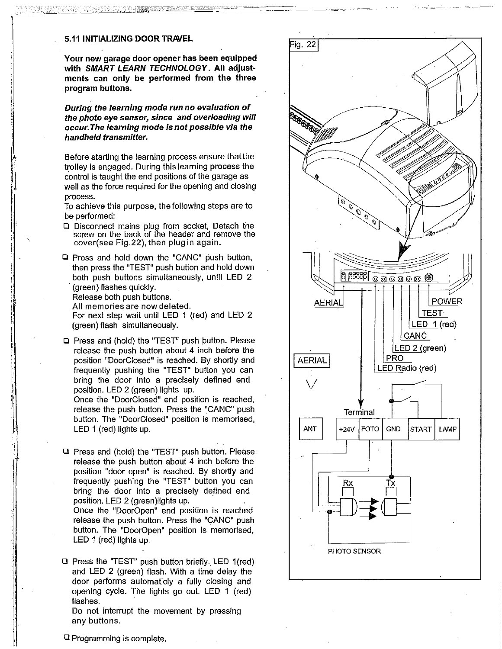#### **5.11 INITIALIZING DOOR TRAVEL**

**Your new garage door opener has been equipped with SMART LEARN TECHNOLOGY. All adjustments can only be performed from the three program buttons.**

**During the learning mode run no evaluation of the photo eye sensor, since and overloading will occur, The learning mode is not possible via the handheld transmitter.**

Before starting the learning process ensure thatthe trolley is engaged. During this learning process the control is taught the end positions of the garage as well as the force required for the opening and closing process.

To achieve this purpose, the following steps are to be performed:

- $\square$  Disconnect mains plug from socket, Detach the screw on the back of the header and remove the cover(see Fig.22), then plug in again.
- $\Box$  Press and hold down the "CANC" push button, then press the "TEST" push button and hold down both push buttons simultaneously, until LED 2 (green) flashes quickly.

Release both push buttons.

All memories are nowdeleted.

For next step wait until LED 1 (red) and LED 2 (green) flash simultaneously.

Press and (hold) the "TEST" push button. Please release the push button about 4 inch before the position "DoorCIosed" is reached. By shortly and frequently pushing the "TEST" button you can bring the door into a precisely defined end position. LED 2 (green) lights up.

Once the "DoorCIosed" end position is reached, release the push button. Press the "CANC" push button. The "DoorClosed" position is memorised, LED 1 (red) lights up.

 $\Omega$  Press and (hold) the "TEST" push button. Please. release the push button about 4 inch before the position "door open" is reached. By shortly and frequent!y pushing the "TEST" button you can bring the door into a precisely defined end position. LED 2 (green)lights up. Once the "DoorOpen" end position is reached release the push button. Press the "CANC" push button. The "DoorOpen" position is memorised, LED  $1$  (red) lights up.

 $\Box$  Press the "TEST" push button briefly. LED 1(red) and LED 2 (green) flash, With a time delay the door performs automaticly a fully closing and opening cycle. The lights go out. LED 1 (red) flashes.

Do not interrupt the movement by pressing any buttons.



Programming is complete.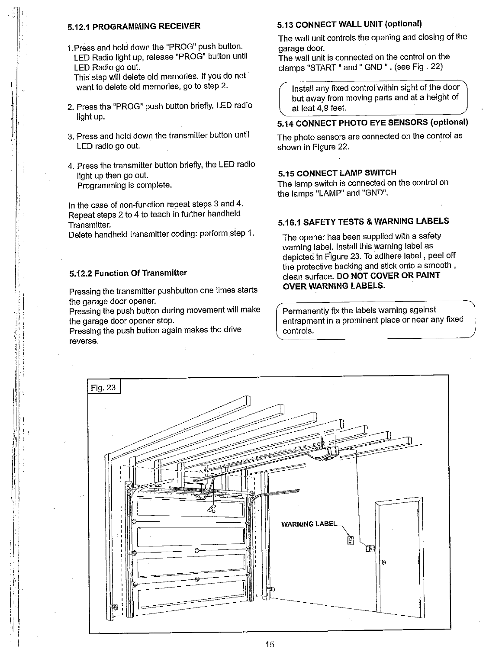#### **5.12.1 PROGRAMMING RECEIVER**

1 .Press and hold down the "PROG" push button. LED Radio light up, release "PROG" button until LED Radio go out.

This step will delete old memories. If you do not want to delete old memories, go to step 2.

- 2. Press the "PROG" push button briefly. LED radio light up.
- 3. Press and hold down the transmitter button until LED radio go out.
- 4.Press the transmitter button briefly, the LED radio light up then go out. Programming is complete.

In the case of non-function repeat steps 3 and 4. Repeat steps 2 to 4 to teach in further handheld Transmitter.

Delete handheld transmitter coding: perform.step 1.

#### **5.12.2 Function Of Transmitter**

Pressing the transmitter pushbutton one times starts the garage door opener.

Pressing the push button during movement will make the garage door opener stop.

Pressing the push button again makes the drive reverse.

#### **5.13 CONNECT WALL UNIT (optional)**

The wall unit controls the opening and closing of the garage door.

The wall unit is connected on the control on the clamps "START" and" GND". (see Fig. 22)

**/** Install any fixed control within sight of the door but away from moving parts and at a height of at leat 4,9 feet.

#### **5.14 CONNECT PHOTO EYE SENSORS (optional)**

The photo sensors are connected on the control as shown in Figure 22.

#### **5.t5 CONNECT LAMP SWITCH**

The lamp switch is connected on the control on the lamps "LAMP" and "GND".

#### **5.16,1 SAFETY TESTS & WARNING LABELS**

The opener has been supplied with a safety warning label. Install this warning label as depicted in Figure 23. To adlhere label, peel off the protective backing and stick onto a smooth, clean surface. DO **NOT COVER OR PAINT OVER WARNING LABELS.**

International in a prominent place or near any fixed<br>controls. Permanently fix the labels warning against controls.

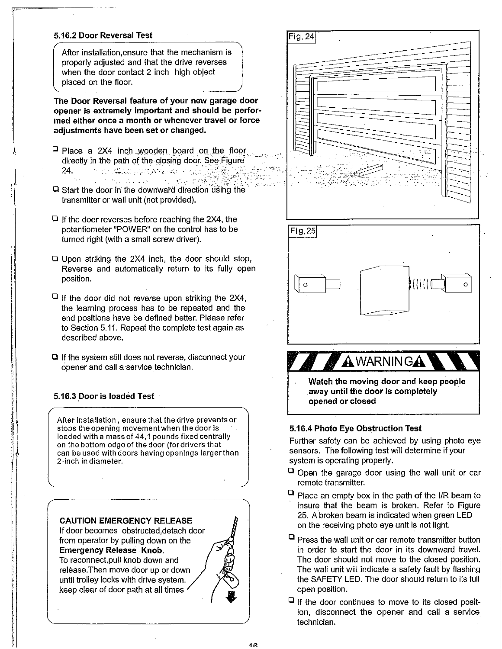#### **5.16.2 Door Reversal Test**

After installation, ensure that the mechanism is properly adjusted and that the drive reverses when the door contact 2 inch high object placed on the floor.

**The Door Reversal feature of your new garage door opener is extremely important and should be performed either once a month or whenever travel or force adjustments have been set or changed.**

- $\Box$  Place a 2X4 inch wooden board on the floor directly in the path of the closing door. See Figure 24. :. ~.:.; ~. <:...~:.:
- $\square$  Start the door in the downward direction using the transmitter or wall unit (not provided).
- $\Box$  If the door reverses before reaching the 2X4, the potentiometer "POWER" on the control has to be turned right (with a small screw driver).
- $\Box$  Upon striking the 2X4 inch, the door should stop, Reverse and automatically return to its fully open position.
- $\Box$  If the door did not reverse upon striking the 2X4, the learning process has to be repeated and the end positions have be defined better. Please refer to Section 5.11. Repeat the complete test again as described above.
- $\Box$  If the system still does not reverse, disconnect your Opener and call a service technician.

#### **5.16.3 Door is loaded Test**

After installation, ensure that the drive prevents or stops the opening movement when the door is loaded with a mass of 44,1 pounds fixed centrally on the bottom edge of the door (for drivers that can be used with doors having openings larger than 2-inch in diameter.

#### **CAUTION EMERGENCY RELEASE**

If door becomes obstructed,detach door from operator by pulling down on the **Emergency Release Knob.** To reconnect,pull knob down and release.Then move door up or down until trolley locks with drive system. keep clear of door path at all times





**Watch the moving door and keep people away until the door is completely opened or closed**

#### **5:16.4 Photo Eye Obstruction Test**

Further safety can be achieved by using photo eye sensors. The following test will determine if your system is operating properly.

- $\Box$  Open the garage door using the wall unit or car remote transmitter.
- $\Box$  Place an empty box in the path of the I/R beam to insure that the beam is broken. Refer to Figure 25. A broken beam is indicated when green LED on the receiving photo eye unit is not light.
- $\Box$  Press the wall unit or car remote transmitter button in order to start the door in its downward travel. The door should not move to the closed posiflon. The wall unit will indicate a safety fault by flashing the SAFETY LED. The door should return to its full open position.
- $\Box$  if the door continues to move to its closed position, disconnect the opener and call a service technician.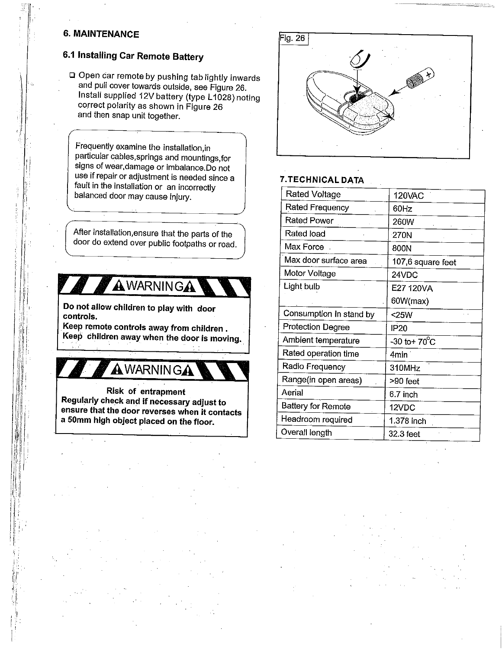#### **6. MAINTENANCE**

### **6.1 Installing Car Remote Battery**

Open car remote by pushing tab lightly inwards and pull cover towards outside, see Figure 26. Install supplied 12V battery (type L1028) noting correct polarity as shown in Figure 26 and then snap unit together.

Frequently examine the installation,in particular cables,springs and mountings,for signs of wear, damage or imbalance.Do not use if repair or adjustment is needed since a fault in the installation or an incorrectly balanced door may cause injury.

After installation, ensure that the parts of the door do extend over public footpaths or road.

## AWARNINGA

**Do not allow children to play with door controls.**

**Keep remote controls away from children, Keep children away when the door is moving.**

**AWARNINGA** 

**Risk of entrapment Regularly check and if necessary adjust to ensure that the door reverses when it contacts a 50mm high object placed on the floor.**



#### **7.TECHNICAL DATA**

| Rated Voltage            | <b>120VAC</b>             |
|--------------------------|---------------------------|
| Rated Frequency          | 60Hz                      |
| Rated Power              | <b>260W</b>               |
| Rated load               | 270N                      |
| Max Force.               | 800N                      |
| Max door surface area    | 107,6 square feet         |
| Motor Voltage            | 24VDC                     |
| Light bulb               | E27 120VA                 |
|                          | 60W(max)                  |
| Consumption in stand by  | $25W$                     |
| <b>Protection Degree</b> | IP <sub>20</sub>          |
| Ambient temperature      | $-30$ to + $70^{\circ}$ C |
| Rated operation time     | 4min                      |
| Radio Frequency          | 310MHz                    |
| Range(in open areas)     | >90 feet                  |
| Aerial                   | 6.7 inch                  |
| Battery for Remote       | 12VDC                     |
| Headroom required        | 1.378 inch                |
| Overall length           | 32.3 feet                 |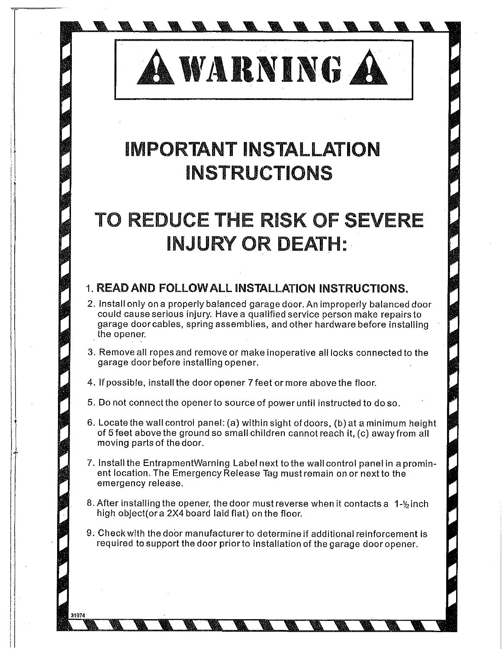A WARNING A

## **iMPORTANT iNSTALLATiON iNSTRUCTiONS**

## **TO REDUCE THE RiSK OF SEVERE iNJURY OR DEATH:,**

### **READ AND FOLLOWALL iNSTALLATION INSTRUCTIONS.**

- 2. Install only on a properly balanced garage door. An improperly balanced door could cause serious injury. Have a qualified service person make repairs to garage door cables, spring assemblies, and other hardware before installing the opener.
- 3. Remove all ropes and remove or make inoperative all locks connected to the garage door before installing opener.
- 4. If possible, install the door opener 7feet or more above the floor.
- 5. Do not connect the opener to sourceof power until instructed to do so.
- 6. Locate the wall control panel: (a) within sight of doors, (b) at a minimum height of 5feet above the ground so small children cannot reach it, (c) away from all moving parts of the door.
- 7. Install the EntrapmentWarning Label next to the wall control panel in aprominent location. The Emergency Release Tag must remain on or next to the emergency release.
- 8. After installing the opener, the door must reverse when it contacts a 1-1/2 inch high object(or a 2X4 board laid flat) on the floor.
- 9. Checkwith the dobr manufacturer to determine if additional reinforcement is required to support the door priorto installation of the garage dooropener.

t074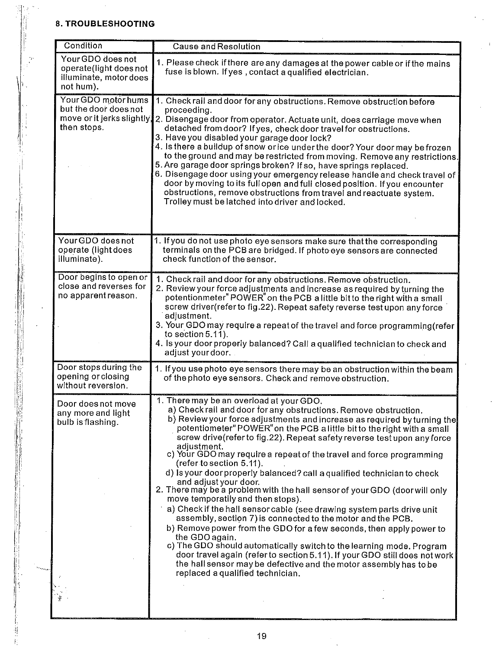#### **8. TROUBLESHOOTING**

| Condition                                                                          | <b>Cause and Resolution</b>                                                                                                                                                                                                                                                                                                                                                                                                                                                                                                                                                                                                                                                                                                                                                                                                                                                                                                                                                                                                                                                                                                                                                               |
|------------------------------------------------------------------------------------|-------------------------------------------------------------------------------------------------------------------------------------------------------------------------------------------------------------------------------------------------------------------------------------------------------------------------------------------------------------------------------------------------------------------------------------------------------------------------------------------------------------------------------------------------------------------------------------------------------------------------------------------------------------------------------------------------------------------------------------------------------------------------------------------------------------------------------------------------------------------------------------------------------------------------------------------------------------------------------------------------------------------------------------------------------------------------------------------------------------------------------------------------------------------------------------------|
| Your GDO does not<br>operate(light does not<br>illuminate, motor does<br>not hum). | 1. Please check if there are any damages at the power cable or if the mains<br>fuse is blown. If yes, contact a qualified electrician.                                                                                                                                                                                                                                                                                                                                                                                                                                                                                                                                                                                                                                                                                                                                                                                                                                                                                                                                                                                                                                                    |
| Your GDO motor hums<br>but the door does not<br>then stops.                        | 1. Check rail and door for any obstructions. Remove obstruction before<br>proceeding.<br>move or it jerks slightly, 2. Disengage door from operator. Actuate unit, does carriage move when<br>detached from door? If yes, check door travel for opstructions.<br>3. Have you disabled your garage door lock?<br>4. Is there a buildup of snow or ice under the door? Your door may be frozen<br>to the ground and may be restricted from moving. Remove any restrictions.<br>5. Are garage door springs broken? If so, have springs replaced.<br>6. Disengage door using your emergency release handle and check travel of<br>door by moving to its full open and full closed position. If you encounter<br>obstructions, remove obstructions from travel and reactuate system.<br>Trolley must be latched into driver and locked.                                                                                                                                                                                                                                                                                                                                                        |
| Your GDO does not<br>operate (light does<br>illuminate).                           | 1. If you do not use photo eye sensors make sure that the corresponding<br>terminals on the PCB are bridged. If photo eye sensors are connected<br>check function of the sensor.                                                                                                                                                                                                                                                                                                                                                                                                                                                                                                                                                                                                                                                                                                                                                                                                                                                                                                                                                                                                          |
| Door begins to open or<br>close and reverses for<br>no apparent reason.            | 1. Check rail and door for any obstructions. Remove obstruction.<br>2. Review your force adjustments and increase as required by turning the<br>potentionmeter" POWER" on the PCB a little bit to the right with a small<br>screw driver(refer to fig.22). Repeat safety reverse test upon any force<br>adjustment.<br>3. Your GDO may require a repeat of the travel and force programming (refer<br>to section 5.11).<br>4. Is your door properly balanced? Call a qualified technician to check and<br>adjust your door.                                                                                                                                                                                                                                                                                                                                                                                                                                                                                                                                                                                                                                                               |
| Door stops during the<br>opening or closing<br>without reversion.                  | 1. If you use photo eye sensors there may be an obstruction within the beam<br>of the photo eye sensors. Check and remove obstruction.                                                                                                                                                                                                                                                                                                                                                                                                                                                                                                                                                                                                                                                                                                                                                                                                                                                                                                                                                                                                                                                    |
| Door does not move<br>any more and light<br>bulb is flashing.                      | 1. There may be an overload at your GDO.<br>a) Check rail and door for any obstructions. Remove obstruction.<br>b) Review your force adjustments and increase as required by turning the<br>potentiometer" POWER" on the PCB a little bit to the right with a small<br>screw drive(refer to fig.22). Repeat safety reverse test upon any force<br>adjustment.<br>c) Your GDO may require a repeat of the travel and force programming<br>(refer to section 5.11).<br>d) is your door properly balanced? call a qualified technician to check<br>and adjust your door.<br>2. There may be a problem with the hall sensor of your GDO (door will only<br>move temporatily and then stops).<br>a) Check if the hall sensor cable (see drawing system parts drive unit<br>assembly, section 7) is connected to the motor and the PCB.<br>b) Remove power from the GDO for a few seconds, then apply power to<br>the GDO again.<br>c) The GDO should automatically switch to the learning mode. Program<br>door travel again (refer to section 5.11). If your GDO still does not work<br>the hall sensor may be defective and the motor assembly has to be<br>replaced a qualified technician. |
|                                                                                    |                                                                                                                                                                                                                                                                                                                                                                                                                                                                                                                                                                                                                                                                                                                                                                                                                                                                                                                                                                                                                                                                                                                                                                                           |